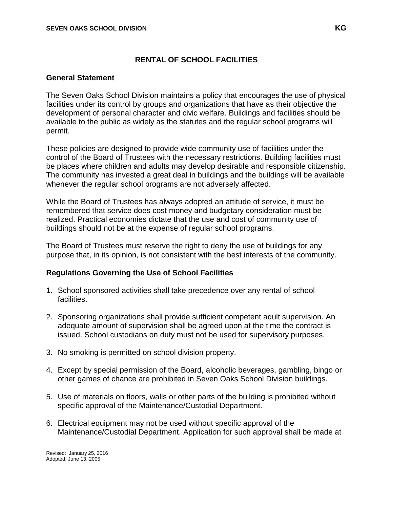# **RENTAL OF SCHOOL FACILITIES**

#### **General Statement**

The Seven Oaks School Division maintains a policy that encourages the use of physical facilities under its control by groups and organizations that have as their objective the development of personal character and civic welfare. Buildings and facilities should be available to the public as widely as the statutes and the regular school programs will permit.

These policies are designed to provide wide community use of facilities under the control of the Board of Trustees with the necessary restrictions. Building facilities must be places where children and adults may develop desirable and responsible citizenship. The community has invested a great deal in buildings and the buildings will be available whenever the regular school programs are not adversely affected.

While the Board of Trustees has always adopted an attitude of service, it must be remembered that service does cost money and budgetary consideration must be realized. Practical economies dictate that the use and cost of community use of buildings should not be at the expense of regular school programs.

The Board of Trustees must reserve the right to deny the use of buildings for any purpose that, in its opinion, is not consistent with the best interests of the community.

## **Regulations Governing the Use of School Facilities**

- 1. School sponsored activities shall take precedence over any rental of school facilities.
- 2. Sponsoring organizations shall provide sufficient competent adult supervision. An adequate amount of supervision shall be agreed upon at the time the contract is issued. School custodians on duty must not be used for supervisory purposes.
- 3. No smoking is permitted on school division property.
- 4. Except by special permission of the Board, alcoholic beverages, gambling, bingo or other games of chance are prohibited in Seven Oaks School Division buildings.
- 5. Use of materials on floors, walls or other parts of the building is prohibited without specific approval of the Maintenance/Custodial Department.
- 6. Electrical equipment may not be used without specific approval of the Maintenance/Custodial Department. Application for such approval shall be made at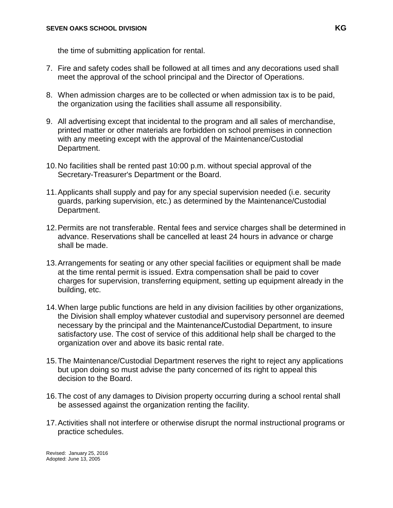the time of submitting application for rental.

- 7. Fire and safety codes shall be followed at all times and any decorations used shall meet the approval of the school principal and the Director of Operations.
- 8. When admission charges are to be collected or when admission tax is to be paid, the organization using the facilities shall assume all responsibility.
- 9. All advertising except that incidental to the program and all sales of merchandise, printed matter or other materials are forbidden on school premises in connection with any meeting except with the approval of the Maintenance/Custodial Department.
- 10.No facilities shall be rented past 10:00 p.m. without special approval of the Secretary-Treasurer's Department or the Board.
- 11.Applicants shall supply and pay for any special supervision needed (i.e. security guards, parking supervision, etc.) as determined by the Maintenance/Custodial Department.
- 12.Permits are not transferable. Rental fees and service charges shall be determined in advance. Reservations shall be cancelled at least 24 hours in advance or charge shall be made.
- 13.Arrangements for seating or any other special facilities or equipment shall be made at the time rental permit is issued. Extra compensation shall be paid to cover charges for supervision, transferring equipment, setting up equipment already in the building, etc.
- 14.When large public functions are held in any division facilities by other organizations, the Division shall employ whatever custodial and supervisory personnel are deemed necessary by the principal and the Maintenance**/**Custodial Department, to insure satisfactory use. The cost of service of this additional help shall be charged to the organization over and above its basic rental rate.
- 15.The Maintenance/Custodial Department reserves the right to reject any applications but upon doing so must advise the party concerned of its right to appeal this decision to the Board.
- 16.The cost of any damages to Division property occurring during a school rental shall be assessed against the organization renting the facility.
- 17.Activities shall not interfere or otherwise disrupt the normal instructional programs or practice schedules.

Revised: January 25, 2016 Adopted: June 13, 2005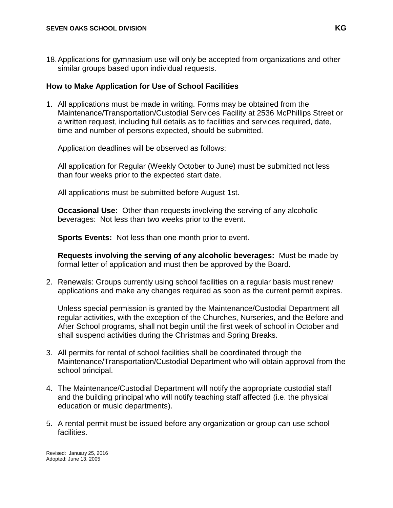18.Applications for gymnasium use will only be accepted from organizations and other similar groups based upon individual requests.

### **How to Make Application for Use of School Facilities**

1. All applications must be made in writing. Forms may be obtained from the Maintenance/Transportation/Custodial Services Facility at 2536 McPhillips Street or a written request, including full details as to facilities and services required, date, time and number of persons expected, should be submitted.

Application deadlines will be observed as follows:

All application for Regular (Weekly October to June) must be submitted not less than four weeks prior to the expected start date.

All applications must be submitted before August 1st.

**Occasional Use:** Other than requests involving the serving of any alcoholic beverages: Not less than two weeks prior to the event.

**Sports Events:** Not less than one month prior to event.

**Requests involving the serving of any alcoholic beverages:** Must be made by formal letter of application and must then be approved by the Board.

2. Renewals: Groups currently using school facilities on a regular basis must renew applications and make any changes required as soon as the current permit expires.

Unless special permission is granted by the Maintenance/Custodial Department all regular activities, with the exception of the Churches, Nurseries, and the Before and After School programs, shall not begin until the first week of school in October and shall suspend activities during the Christmas and Spring Breaks.

- 3. All permits for rental of school facilities shall be coordinated through the Maintenance/Transportation/Custodial Department who will obtain approval from the school principal.
- 4. The Maintenance/Custodial Department will notify the appropriate custodial staff and the building principal who will notify teaching staff affected (i.e. the physical education or music departments).
- 5. A rental permit must be issued before any organization or group can use school facilities.

Revised: January 25, 2016 Adopted: June 13, 2005